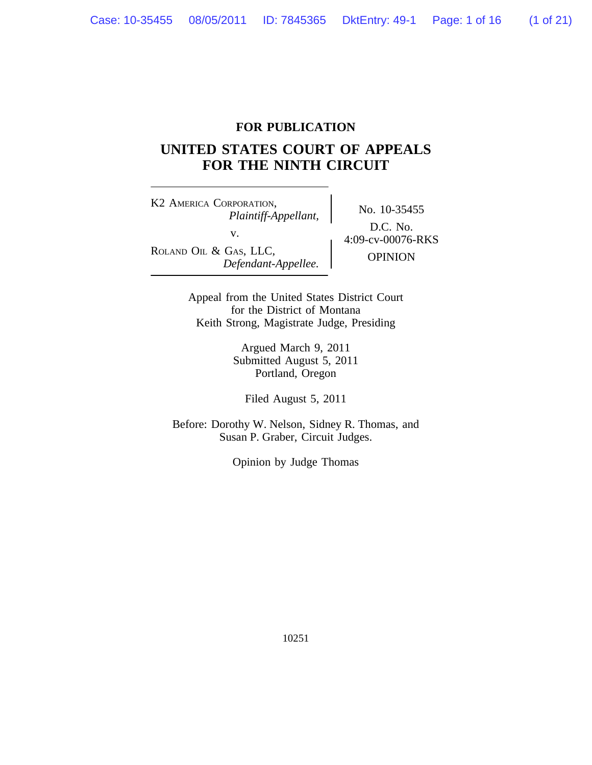### **FOR PUBLICATION**

### **UNITED STATES COURT OF APPEALS FOR THE NINTH CIRCUIT**

K2 AMERICA CORPORATION, No. 10-35455 *Plaintiff-Appellant,* ROLAND OIL & GAS, LLC,<br>*Defendant-Appellee.* OPINION

D.C. No. v.  $4:09\text{-}ev-00076\text{-}RKS$ 

Appeal from the United States District Court for the District of Montana Keith Strong, Magistrate Judge, Presiding

> Argued March 9, 2011 Submitted August 5, 2011 Portland, Oregon

Filed August 5, 2011

Before: Dorothy W. Nelson, Sidney R. Thomas, and Susan P. Graber, Circuit Judges.

Opinion by Judge Thomas

10251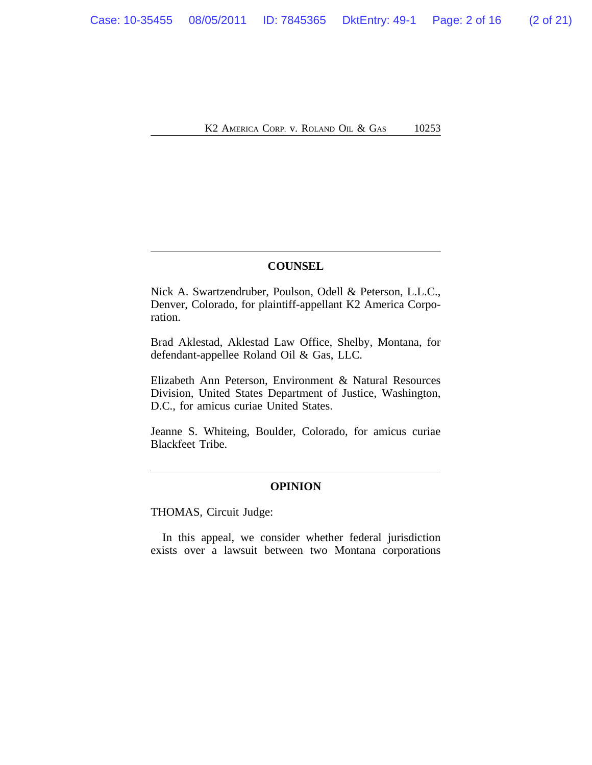K<sub>2</sub> America Corp. v. Roland Oil & Gas 10253

### **COUNSEL**

Nick A. Swartzendruber, Poulson, Odell & Peterson, L.L.C., Denver, Colorado, for plaintiff-appellant K2 America Corporation.

Brad Aklestad, Aklestad Law Office, Shelby, Montana, for defendant-appellee Roland Oil & Gas, LLC.

Elizabeth Ann Peterson, Environment & Natural Resources Division, United States Department of Justice, Washington, D.C., for amicus curiae United States.

Jeanne S. Whiteing, Boulder, Colorado, for amicus curiae Blackfeet Tribe.

#### **OPINION**

THOMAS, Circuit Judge:

In this appeal, we consider whether federal jurisdiction exists over a lawsuit between two Montana corporations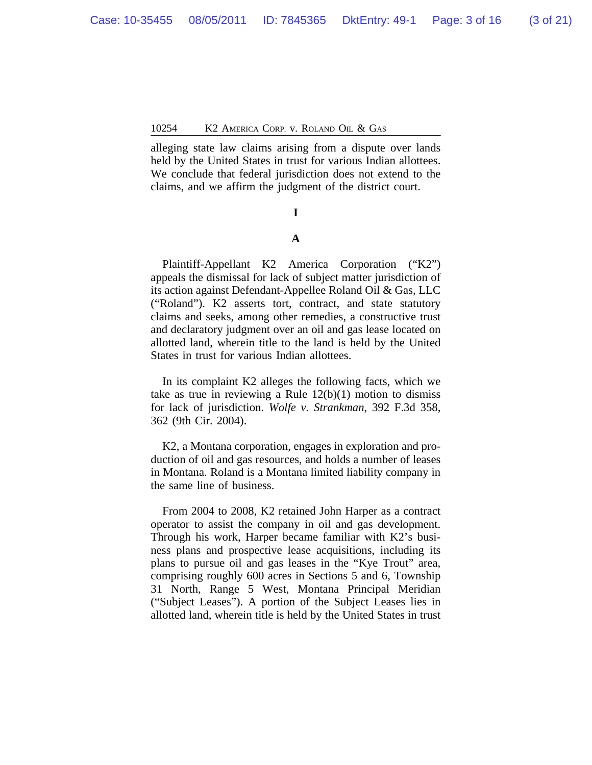alleging state law claims arising from a dispute over lands held by the United States in trust for various Indian allottees. We conclude that federal jurisdiction does not extend to the claims, and we affirm the judgment of the district court.

# **I**

### **A**

Plaintiff-Appellant K2 America Corporation ("K2") appeals the dismissal for lack of subject matter jurisdiction of its action against Defendant-Appellee Roland Oil & Gas, LLC ("Roland"). K2 asserts tort, contract, and state statutory claims and seeks, among other remedies, a constructive trust and declaratory judgment over an oil and gas lease located on allotted land, wherein title to the land is held by the United States in trust for various Indian allottees.

In its complaint K2 alleges the following facts, which we take as true in reviewing a Rule  $12(b)(1)$  motion to dismiss for lack of jurisdiction. *Wolfe v. Strankman*, 392 F.3d 358, 362 (9th Cir. 2004).

K2, a Montana corporation, engages in exploration and production of oil and gas resources, and holds a number of leases in Montana. Roland is a Montana limited liability company in the same line of business.

From 2004 to 2008, K2 retained John Harper as a contract operator to assist the company in oil and gas development. Through his work, Harper became familiar with K2's business plans and prospective lease acquisitions, including its plans to pursue oil and gas leases in the "Kye Trout" area, comprising roughly 600 acres in Sections 5 and 6, Township 31 North, Range 5 West, Montana Principal Meridian ("Subject Leases"). A portion of the Subject Leases lies in allotted land, wherein title is held by the United States in trust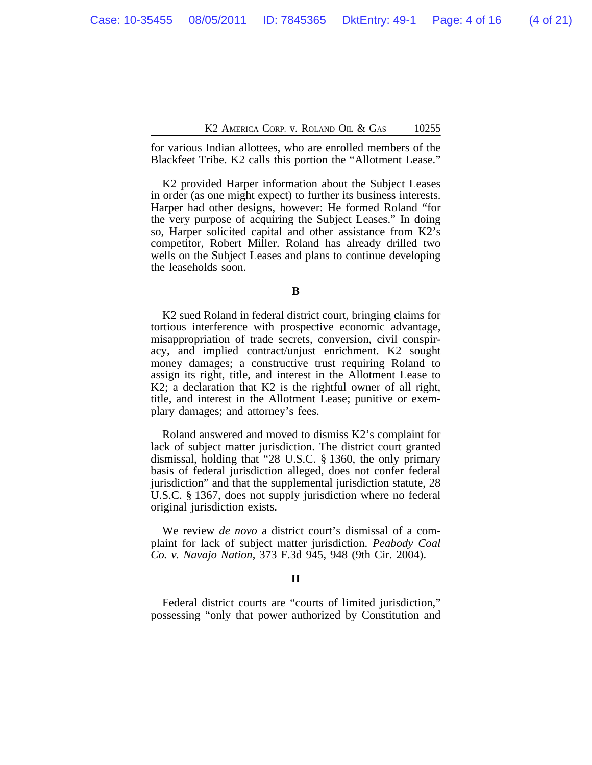for various Indian allottees, who are enrolled members of the Blackfeet Tribe. K2 calls this portion the "Allotment Lease."

K2 provided Harper information about the Subject Leases in order (as one might expect) to further its business interests. Harper had other designs, however: He formed Roland "for the very purpose of acquiring the Subject Leases." In doing so, Harper solicited capital and other assistance from K2's competitor, Robert Miller. Roland has already drilled two wells on the Subject Leases and plans to continue developing the leaseholds soon.

K2 sued Roland in federal district court, bringing claims for tortious interference with prospective economic advantage, misappropriation of trade secrets, conversion, civil conspiracy, and implied contract/unjust enrichment. K2 sought money damages; a constructive trust requiring Roland to assign its right, title, and interest in the Allotment Lease to K2; a declaration that K2 is the rightful owner of all right, title, and interest in the Allotment Lease; punitive or exemplary damages; and attorney's fees.

Roland answered and moved to dismiss K2's complaint for lack of subject matter jurisdiction. The district court granted dismissal, holding that "28 U.S.C. § 1360, the only primary basis of federal jurisdiction alleged, does not confer federal jurisdiction" and that the supplemental jurisdiction statute, 28 U.S.C. § 1367, does not supply jurisdiction where no federal original jurisdiction exists.

We review *de novo* a district court's dismissal of a complaint for lack of subject matter jurisdiction. *Peabody Coal Co. v. Navajo Nation*, 373 F.3d 945, 948 (9th Cir. 2004).

### **II**

Federal district courts are "courts of limited jurisdiction," possessing "only that power authorized by Constitution and

**B**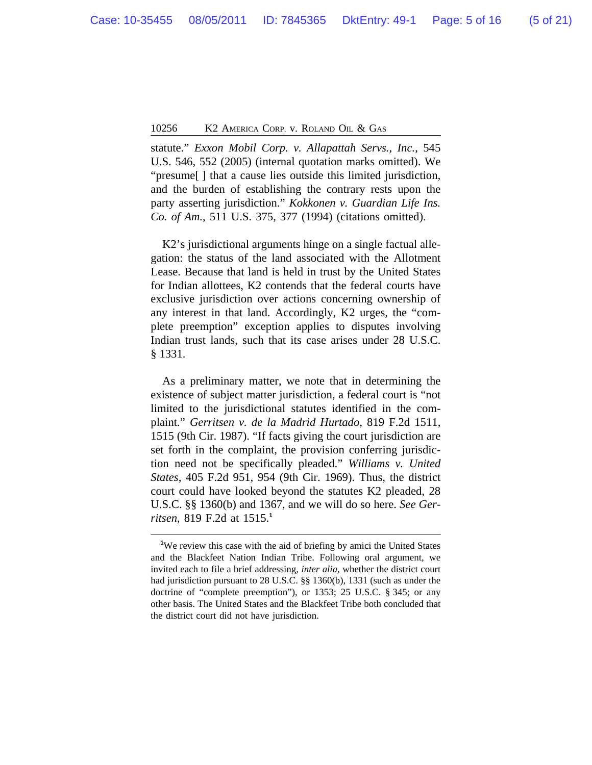statute." *Exxon Mobil Corp. v. Allapattah Servs., Inc.*, 545 U.S. 546, 552 (2005) (internal quotation marks omitted). We "presume[ ] that a cause lies outside this limited jurisdiction, and the burden of establishing the contrary rests upon the party asserting jurisdiction." *Kokkonen v. Guardian Life Ins. Co. of Am.*, 511 U.S. 375, 377 (1994) (citations omitted).

K2's jurisdictional arguments hinge on a single factual allegation: the status of the land associated with the Allotment Lease. Because that land is held in trust by the United States for Indian allottees, K2 contends that the federal courts have exclusive jurisdiction over actions concerning ownership of any interest in that land. Accordingly, K2 urges, the "complete preemption" exception applies to disputes involving Indian trust lands, such that its case arises under 28 U.S.C. § 1331.

As a preliminary matter, we note that in determining the existence of subject matter jurisdiction, a federal court is "not limited to the jurisdictional statutes identified in the complaint." *Gerritsen v. de la Madrid Hurtado*, 819 F.2d 1511, 1515 (9th Cir. 1987). "If facts giving the court jurisdiction are set forth in the complaint, the provision conferring jurisdiction need not be specifically pleaded." *Williams v. United States*, 405 F.2d 951, 954 (9th Cir. 1969). Thus, the district court could have looked beyond the statutes K2 pleaded, 28 U.S.C. §§ 1360(b) and 1367, and we will do so here. *See Gerritsen*, 819 F.2d at 1515.**<sup>1</sup>**

<sup>&</sup>lt;sup>1</sup>We review this case with the aid of briefing by amici the United States and the Blackfeet Nation Indian Tribe. Following oral argument, we invited each to file a brief addressing, *inter alia*, whether the district court had jurisdiction pursuant to 28 U.S.C. §§ 1360(b), 1331 (such as under the doctrine of "complete preemption"), or 1353; 25 U.S.C. § 345; or any other basis. The United States and the Blackfeet Tribe both concluded that the district court did not have jurisdiction.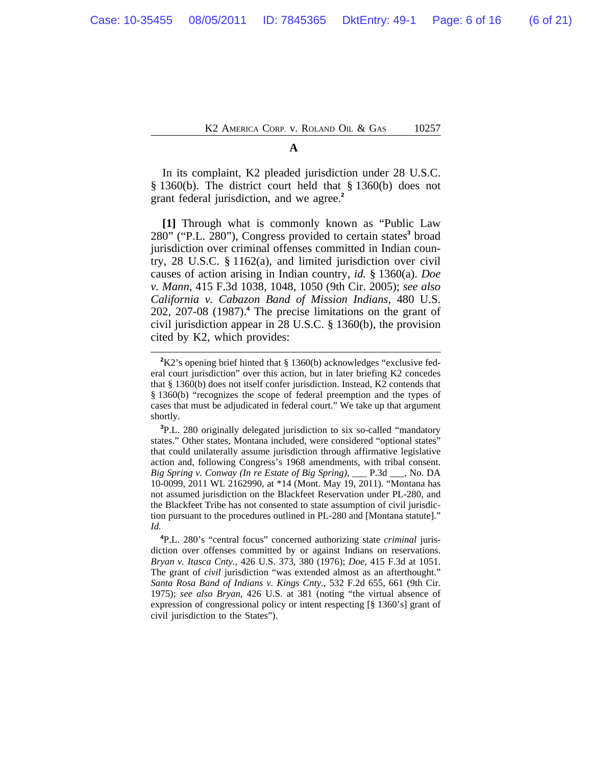K<sub>2</sub> America Corp. v. Roland Oil & Gas 10257

#### **A**

In its complaint, K2 pleaded jurisdiction under 28 U.S.C. § 1360(b). The district court held that § 1360(b) does not grant federal jurisdiction, and we agree.**<sup>2</sup>**

**[1]** Through what is commonly known as "Public Law 280" ("P.L. 280"), Congress provided to certain states**<sup>3</sup>** broad jurisdiction over criminal offenses committed in Indian country, 28 U.S.C. § 1162(a), and limited jurisdiction over civil causes of action arising in Indian country, *id.* § 1360(a). *Doe v. Mann*, 415 F.3d 1038, 1048, 1050 (9th Cir. 2005); *see also California v. Cabazon Band of Mission Indians*, 480 U.S. 202, 207-08 (1987).**<sup>4</sup>** The precise limitations on the grant of civil jurisdiction appear in 28 U.S.C. § 1360(b), the provision cited by K2, which provides:

**<sup>2</sup>**K2's opening brief hinted that § 1360(b) acknowledges "exclusive federal court jurisdiction" over this action, but in later briefing K2 concedes that § 1360(b) does not itself confer jurisdiction. Instead, K2 contends that § 1360(b) "recognizes the scope of federal preemption and the types of cases that must be adjudicated in federal court." We take up that argument shortly.

**<sup>3</sup>**P.L. 280 originally delegated jurisdiction to six so-called "mandatory states." Other states, Montana included, were considered "optional states" that could unilaterally assume jurisdiction through affirmative legislative action and, following Congress's 1968 amendments, with tribal consent. *Big Spring v. Conway (In re Estate of Big Spring)*, \_\_\_ P.3d \_\_\_, No. DA 10-0099, 2011 WL 2162990, at \*14 (Mont. May 19, 2011). "Montana has not assumed jurisdiction on the Blackfeet Reservation under PL-280, and the Blackfeet Tribe has not consented to state assumption of civil jurisdiction pursuant to the procedures outlined in PL-280 and [Montana statute]." *Id.*

**<sup>4</sup>**P.L. 280's "central focus" concerned authorizing state *criminal* jurisdiction over offenses committed by or against Indians on reservations. *Bryan v. Itasca Cnty.*, 426 U.S. 373, 380 (1976); *Doe*, 415 F.3d at 1051. The grant of *civil* jurisdiction "was extended almost as an afterthought." *Santa Rosa Band of Indians v. Kings Cnty.*, 532 F.2d 655, 661 (9th Cir. 1975); *see also Bryan*, 426 U.S. at 381 (noting "the virtual absence of expression of congressional policy or intent respecting [§ 1360's] grant of civil jurisdiction to the States").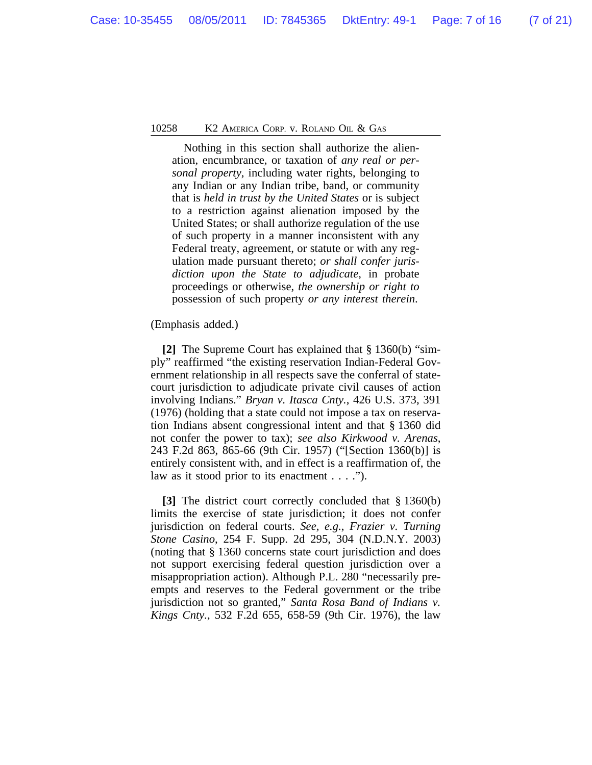Nothing in this section shall authorize the alienation, encumbrance, or taxation of *any real or personal property*, including water rights, belonging to any Indian or any Indian tribe, band, or community that is *held in trust by the United States* or is subject to a restriction against alienation imposed by the United States; or shall authorize regulation of the use of such property in a manner inconsistent with any Federal treaty, agreement, or statute or with any regulation made pursuant thereto; *or shall confer jurisdiction upon the State to adjudicate*, in probate proceedings or otherwise, *the ownership or right to* possession of such property *or any interest therein*.

(Emphasis added.)

**[2]** The Supreme Court has explained that § 1360(b) "simply" reaffirmed "the existing reservation Indian-Federal Government relationship in all respects save the conferral of statecourt jurisdiction to adjudicate private civil causes of action involving Indians." *Bryan v. Itasca Cnty.*, 426 U.S. 373, 391 (1976) (holding that a state could not impose a tax on reservation Indians absent congressional intent and that § 1360 did not confer the power to tax); *see also Kirkwood v. Arenas*, 243 F.2d 863, 865-66 (9th Cir. 1957) ("[Section 1360(b)] is entirely consistent with, and in effect is a reaffirmation of, the law as it stood prior to its enactment  $\dots$ .").

**[3]** The district court correctly concluded that § 1360(b) limits the exercise of state jurisdiction; it does not confer jurisdiction on federal courts. *See, e.g.*, *Frazier v. Turning Stone Casino*, 254 F. Supp. 2d 295, 304 (N.D.N.Y. 2003) (noting that § 1360 concerns state court jurisdiction and does not support exercising federal question jurisdiction over a misappropriation action). Although P.L. 280 "necessarily preempts and reserves to the Federal government or the tribe jurisdiction not so granted," *Santa Rosa Band of Indians v. Kings Cnty.*, 532 F.2d 655, 658-59 (9th Cir. 1976), the law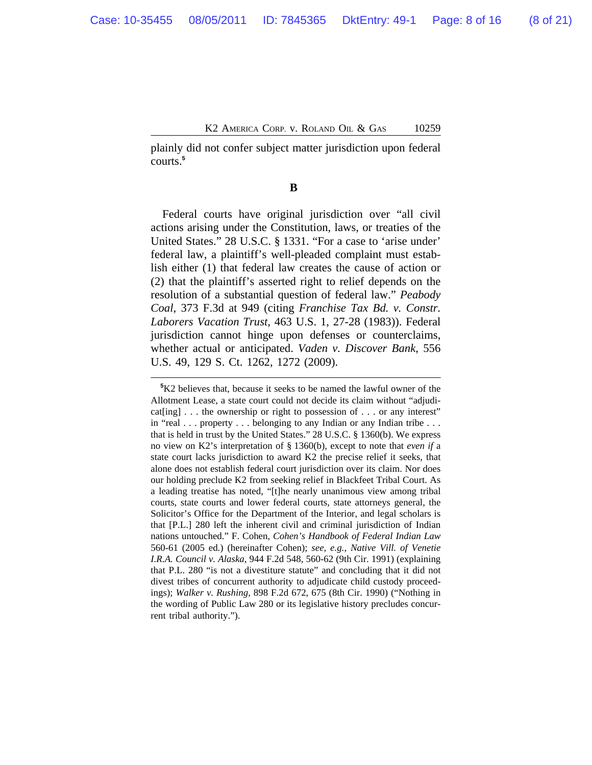plainly did not confer subject matter jurisdiction upon federal courts.**<sup>5</sup>**

**B** 

Federal courts have original jurisdiction over "all civil actions arising under the Constitution, laws, or treaties of the United States." 28 U.S.C. § 1331. "For a case to 'arise under' federal law, a plaintiff's well-pleaded complaint must establish either (1) that federal law creates the cause of action or (2) that the plaintiff's asserted right to relief depends on the resolution of a substantial question of federal law." *Peabody Coal*, 373 F.3d at 949 (citing *Franchise Tax Bd. v. Constr. Laborers Vacation Trust*, 463 U.S. 1, 27-28 (1983)). Federal jurisdiction cannot hinge upon defenses or counterclaims, whether actual or anticipated. *Vaden v. Discover Bank*, 556 U.S. 49, 129 S. Ct. 1262, 1272 (2009).

**<sup>5</sup>**K2 believes that, because it seeks to be named the lawful owner of the Allotment Lease, a state court could not decide its claim without "adjudicat[ing] . . . the ownership or right to possession of . . . or any interest" in "real . . . property . . . belonging to any Indian or any Indian tribe . . . that is held in trust by the United States." 28 U.S.C. § 1360(b). We express no view on K2's interpretation of § 1360(b), except to note that *even if* a state court lacks jurisdiction to award K2 the precise relief it seeks, that alone does not establish federal court jurisdiction over its claim. Nor does our holding preclude K2 from seeking relief in Blackfeet Tribal Court. As a leading treatise has noted, "[t]he nearly unanimous view among tribal courts, state courts and lower federal courts, state attorneys general, the Solicitor's Office for the Department of the Interior, and legal scholars is that [P.L.] 280 left the inherent civil and criminal jurisdiction of Indian nations untouched." F. Cohen, *Cohen's Handbook of Federal Indian Law* 560-61 (2005 ed.) (hereinafter Cohen); *see, e.g.*, *Native Vill. of Venetie I.R.A. Council v. Alaska*, 944 F.2d 548, 560-62 (9th Cir. 1991) (explaining that P.L. 280 "is not a divestiture statute" and concluding that it did not divest tribes of concurrent authority to adjudicate child custody proceedings); *Walker v. Rushing*, 898 F.2d 672, 675 (8th Cir. 1990) ("Nothing in the wording of Public Law 280 or its legislative history precludes concurrent tribal authority.").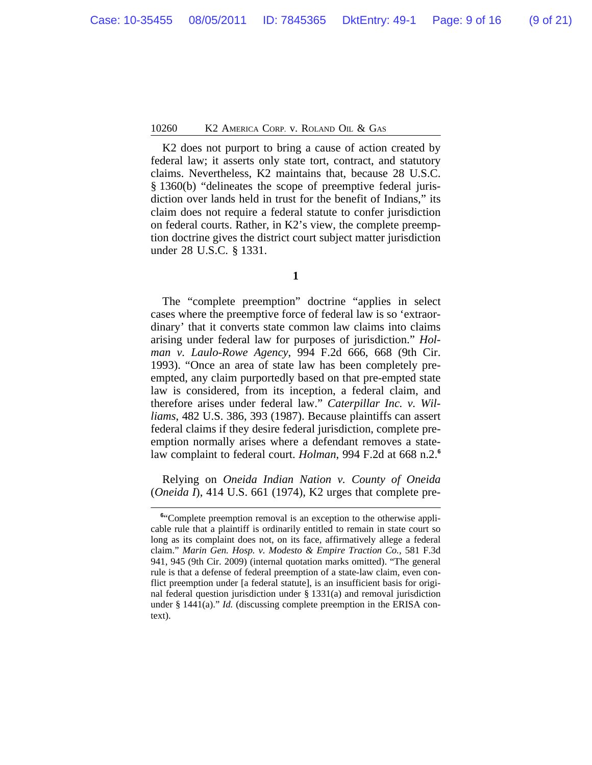K2 does not purport to bring a cause of action created by federal law; it asserts only state tort, contract, and statutory claims. Nevertheless, K2 maintains that, because 28 U.S.C. § 1360(b) "delineates the scope of preemptive federal jurisdiction over lands held in trust for the benefit of Indians," its claim does not require a federal statute to confer jurisdiction on federal courts. Rather, in K2's view, the complete preemption doctrine gives the district court subject matter jurisdiction under 28 U.S.C. § 1331.

The "complete preemption" doctrine "applies in select cases where the preemptive force of federal law is so 'extraordinary' that it converts state common law claims into claims arising under federal law for purposes of jurisdiction." *Holman v. Laulo-Rowe Agency*, 994 F.2d 666, 668 (9th Cir. 1993). "Once an area of state law has been completely preempted, any claim purportedly based on that pre-empted state law is considered, from its inception, a federal claim, and therefore arises under federal law." *Caterpillar Inc. v. Williams*, 482 U.S. 386, 393 (1987). Because plaintiffs can assert federal claims if they desire federal jurisdiction, complete preemption normally arises where a defendant removes a statelaw complaint to federal court. *Holman*, 994 F.2d at 668 n.2.**<sup>6</sup>**

Relying on *Oneida Indian Nation v. County of Oneida* (*Oneida I*), 414 U.S. 661 (1974), K2 urges that complete pre-

**<sup>1</sup>**

<sup>&</sup>lt;sup>6"</sup>Complete preemption removal is an exception to the otherwise applicable rule that a plaintiff is ordinarily entitled to remain in state court so long as its complaint does not, on its face, affirmatively allege a federal claim." *Marin Gen. Hosp. v. Modesto & Empire Traction Co.*, 581 F.3d 941, 945 (9th Cir. 2009) (internal quotation marks omitted). "The general rule is that a defense of federal preemption of a state-law claim, even conflict preemption under [a federal statute], is an insufficient basis for original federal question jurisdiction under § 1331(a) and removal jurisdiction under § 1441(a)." *Id.* (discussing complete preemption in the ERISA context).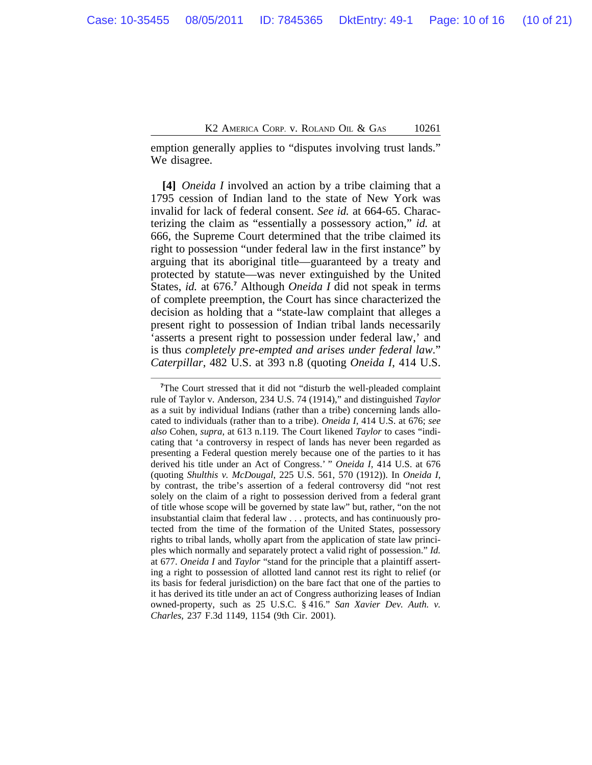emption generally applies to "disputes involving trust lands." We disagree.

**[4]** *Oneida I* involved an action by a tribe claiming that a 1795 cession of Indian land to the state of New York was invalid for lack of federal consent. *See id.* at 664-65. Characterizing the claim as "essentially a possessory action," *id.* at 666, the Supreme Court determined that the tribe claimed its right to possession "under federal law in the first instance" by arguing that its aboriginal title—guaranteed by a treaty and protected by statute—was never extinguished by the United States, *id.* at 676.<sup>7</sup> Although *Oneida I* did not speak in terms of complete preemption, the Court has since characterized the decision as holding that a "state-law complaint that alleges a present right to possession of Indian tribal lands necessarily 'asserts a present right to possession under federal law,' and is thus *completely pre-empted and arises under federal law*." *Caterpillar*, 482 U.S. at 393 n.8 (quoting *Oneida I*, 414 U.S.

<sup>&</sup>lt;sup>7</sup>The Court stressed that it did not "disturb the well-pleaded complaint rule of Taylor v. Anderson, 234 U.S. 74 (1914)," and distinguished *Taylor* as a suit by individual Indians (rather than a tribe) concerning lands allocated to individuals (rather than to a tribe). *Oneida I*, 414 U.S. at 676; *see also* Cohen, *supra*, at 613 n.119. The Court likened *Taylor* to cases "indicating that 'a controversy in respect of lands has never been regarded as presenting a Federal question merely because one of the parties to it has derived his title under an Act of Congress.' " *Oneida I*, 414 U.S. at 676 (quoting *Shulthis v. McDougal*, 225 U.S. 561, 570 (1912)). In *Oneida I*, by contrast, the tribe's assertion of a federal controversy did "not rest solely on the claim of a right to possession derived from a federal grant of title whose scope will be governed by state law" but, rather, "on the not insubstantial claim that federal law . . . protects, and has continuously protected from the time of the formation of the United States, possessory rights to tribal lands, wholly apart from the application of state law principles which normally and separately protect a valid right of possession." *Id.* at 677. *Oneida I* and *Taylor* "stand for the principle that a plaintiff asserting a right to possession of allotted land cannot rest its right to relief (or its basis for federal jurisdiction) on the bare fact that one of the parties to it has derived its title under an act of Congress authorizing leases of Indian owned-property, such as 25 U.S.C. § 416." *San Xavier Dev. Auth. v. Charles*, 237 F.3d 1149, 1154 (9th Cir. 2001).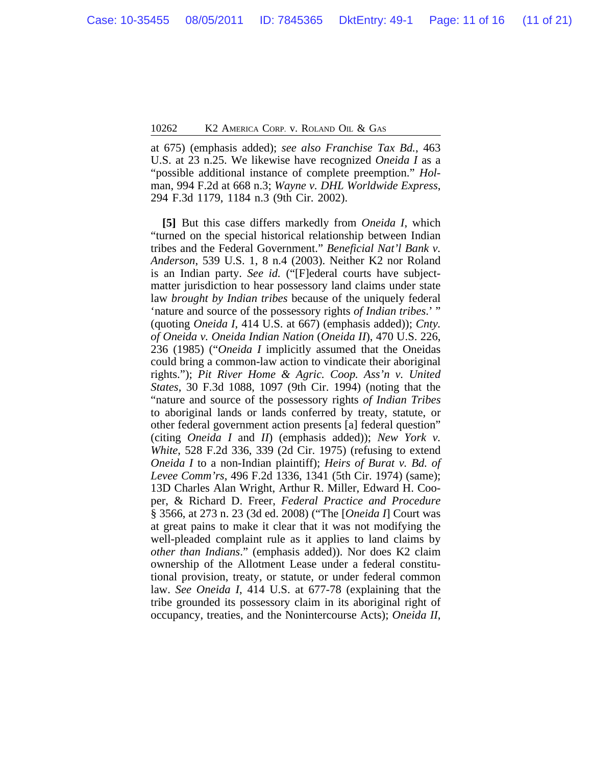at 675) (emphasis added); *see also Franchise Tax Bd.*, 463 U.S. at 23 n.25. We likewise have recognized *Oneida I* as a "possible additional instance of complete preemption." *Hol*man, 994 F.2d at 668 n.3; *Wayne v. DHL Worldwide Express*, 294 F.3d 1179, 1184 n.3 (9th Cir. 2002).

**[5]** But this case differs markedly from *Oneida I*, which "turned on the special historical relationship between Indian tribes and the Federal Government." *Beneficial Nat'l Bank v. Anderson*, 539 U.S. 1, 8 n.4 (2003). Neither K2 nor Roland is an Indian party. *See id.* ("[F]ederal courts have subjectmatter jurisdiction to hear possessory land claims under state law *brought by Indian tribes* because of the uniquely federal 'nature and source of the possessory rights *of Indian tribes*.' " (quoting *Oneida I*, 414 U.S. at 667) (emphasis added)); *Cnty. of Oneida v. Oneida Indian Nation* (*Oneida II*), 470 U.S. 226, 236 (1985) ("*Oneida I* implicitly assumed that the Oneidas could bring a common-law action to vindicate their aboriginal rights."); *Pit River Home & Agric. Coop. Ass'n v. United States*, 30 F.3d 1088, 1097 (9th Cir. 1994) (noting that the "nature and source of the possessory rights *of Indian Tribes* to aboriginal lands or lands conferred by treaty, statute, or other federal government action presents [a] federal question" (citing *Oneida I* and *II*) (emphasis added)); *New York v. White*, 528 F.2d 336, 339 (2d Cir. 1975) (refusing to extend *Oneida I* to a non-Indian plaintiff); *Heirs of Burat v. Bd. of Levee Comm'rs*, 496 F.2d 1336, 1341 (5th Cir. 1974) (same); 13D Charles Alan Wright, Arthur R. Miller, Edward H. Cooper, & Richard D. Freer, *Federal Practice and Procedure* § 3566, at 273 n. 23 (3d ed. 2008) ("The [*Oneida I*] Court was at great pains to make it clear that it was not modifying the well-pleaded complaint rule as it applies to land claims by *other than Indians*." (emphasis added)). Nor does K2 claim ownership of the Allotment Lease under a federal constitutional provision, treaty, or statute, or under federal common law. *See Oneida I*, 414 U.S. at 677-78 (explaining that the tribe grounded its possessory claim in its aboriginal right of occupancy, treaties, and the Nonintercourse Acts); *Oneida II*,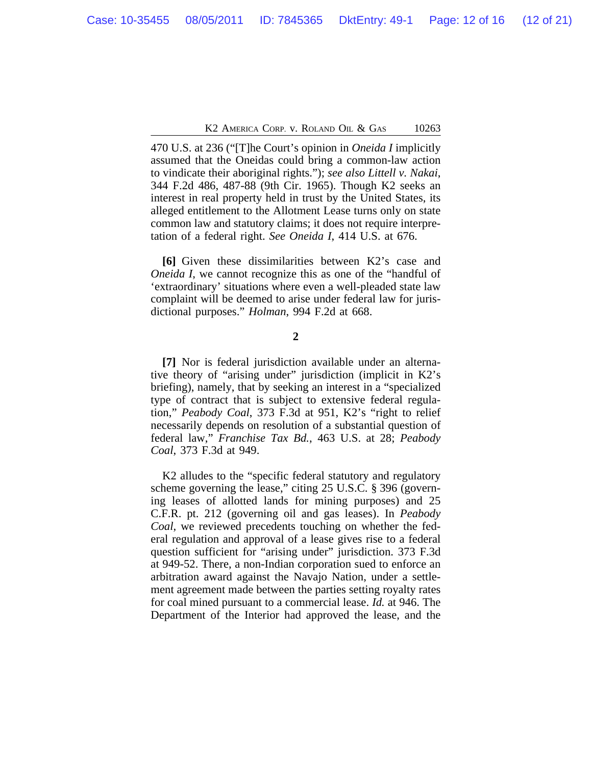K<sub>2</sub> America Corp. v. Roland Oil & Gas 10263

470 U.S. at 236 ("[T]he Court's opinion in *Oneida I* implicitly assumed that the Oneidas could bring a common-law action to vindicate their aboriginal rights."); *see also Littell v. Nakai*, 344 F.2d 486, 487-88 (9th Cir. 1965). Though K2 seeks an interest in real property held in trust by the United States, its alleged entitlement to the Allotment Lease turns only on state common law and statutory claims; it does not require interpretation of a federal right. *See Oneida I*, 414 U.S. at 676.

**[6]** Given these dissimilarities between K2's case and *Oneida I*, we cannot recognize this as one of the "handful of 'extraordinary' situations where even a well-pleaded state law complaint will be deemed to arise under federal law for jurisdictional purposes." *Holman*, 994 F.2d at 668.

**2**

**[7]** Nor is federal jurisdiction available under an alternative theory of "arising under" jurisdiction (implicit in K2's briefing), namely, that by seeking an interest in a "specialized type of contract that is subject to extensive federal regulation," *Peabody Coal*, 373 F.3d at 951, K2's "right to relief necessarily depends on resolution of a substantial question of federal law," *Franchise Tax Bd.*, 463 U.S. at 28; *Peabody Coal*, 373 F.3d at 949.

K2 alludes to the "specific federal statutory and regulatory scheme governing the lease," citing 25 U.S.C. § 396 (governing leases of allotted lands for mining purposes) and 25 C.F.R. pt. 212 (governing oil and gas leases). In *Peabody Coal*, we reviewed precedents touching on whether the federal regulation and approval of a lease gives rise to a federal question sufficient for "arising under" jurisdiction. 373 F.3d at 949-52. There, a non-Indian corporation sued to enforce an arbitration award against the Navajo Nation, under a settlement agreement made between the parties setting royalty rates for coal mined pursuant to a commercial lease. *Id.* at 946. The Department of the Interior had approved the lease, and the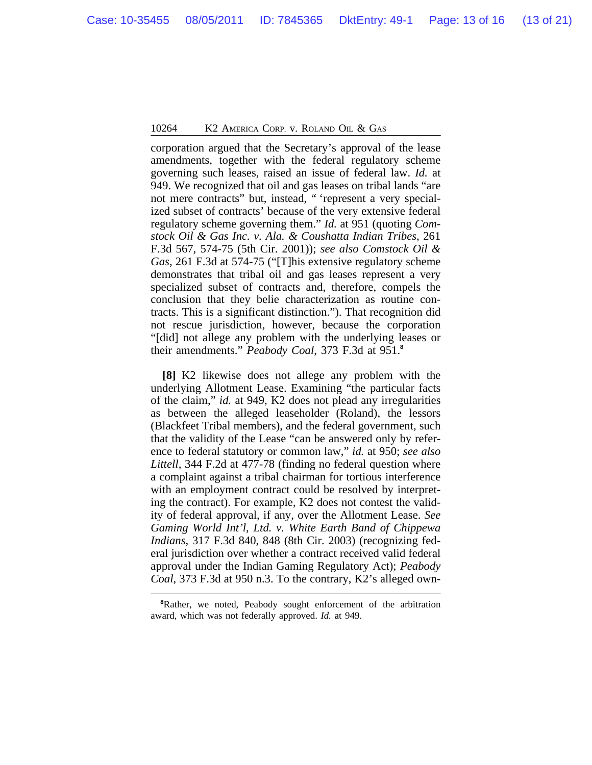corporation argued that the Secretary's approval of the lease amendments, together with the federal regulatory scheme governing such leases, raised an issue of federal law. *Id.* at 949. We recognized that oil and gas leases on tribal lands "are not mere contracts" but, instead, " 'represent a very specialized subset of contracts' because of the very extensive federal regulatory scheme governing them." *Id.* at 951 (quoting *Comstock Oil & Gas Inc. v. Ala. & Coushatta Indian Tribes*, 261 F.3d 567, 574-75 (5th Cir. 2001)); *see also Comstock Oil & Gas*, 261 F.3d at 574-75 ("[T]his extensive regulatory scheme demonstrates that tribal oil and gas leases represent a very specialized subset of contracts and, therefore, compels the conclusion that they belie characterization as routine contracts. This is a significant distinction."). That recognition did not rescue jurisdiction, however, because the corporation "[did] not allege any problem with the underlying leases or their amendments." *Peabody Coal*, 373 F.3d at 951.**<sup>8</sup>**

**[8]** K2 likewise does not allege any problem with the underlying Allotment Lease. Examining "the particular facts of the claim," *id.* at 949, K2 does not plead any irregularities as between the alleged leaseholder (Roland), the lessors (Blackfeet Tribal members), and the federal government, such that the validity of the Lease "can be answered only by reference to federal statutory or common law," *id.* at 950; *see also Littell*, 344 F.2d at 477-78 (finding no federal question where a complaint against a tribal chairman for tortious interference with an employment contract could be resolved by interpreting the contract). For example, K2 does not contest the validity of federal approval, if any, over the Allotment Lease. *See Gaming World Int'l, Ltd. v. White Earth Band of Chippewa Indians*, 317 F.3d 840, 848 (8th Cir. 2003) (recognizing federal jurisdiction over whether a contract received valid federal approval under the Indian Gaming Regulatory Act); *Peabody Coal*, 373 F.3d at 950 n.3. To the contrary, K2's alleged own-

**<sup>8</sup>**Rather, we noted, Peabody sought enforcement of the arbitration award, which was not federally approved. *Id.* at 949.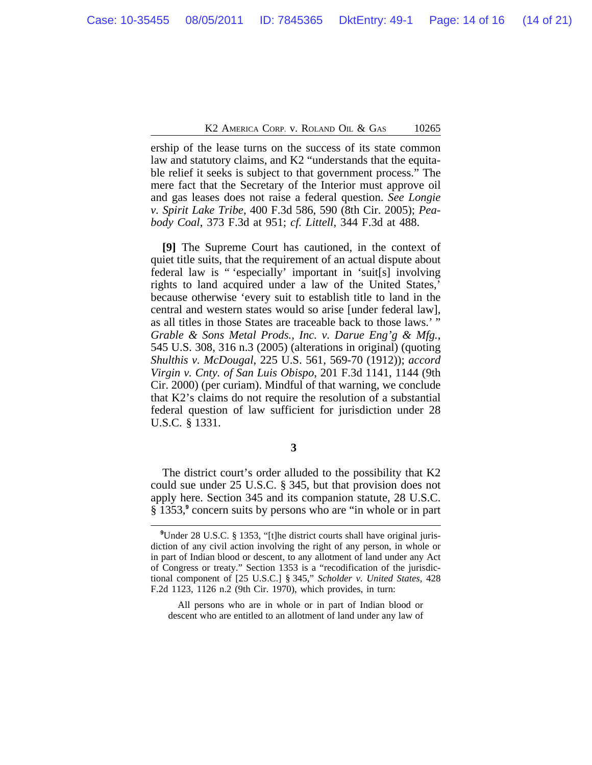ership of the lease turns on the success of its state common law and statutory claims, and K2 "understands that the equitable relief it seeks is subject to that government process." The mere fact that the Secretary of the Interior must approve oil and gas leases does not raise a federal question. *See Longie v. Spirit Lake Tribe*, 400 F.3d 586, 590 (8th Cir. 2005); *Peabody Coal*, 373 F.3d at 951; *cf. Littell*, 344 F.3d at 488.

**[9]** The Supreme Court has cautioned, in the context of quiet title suits, that the requirement of an actual dispute about federal law is " 'especially' important in 'suit[s] involving rights to land acquired under a law of the United States,' because otherwise 'every suit to establish title to land in the central and western states would so arise [under federal law], as all titles in those States are traceable back to those laws.' " *Grable & Sons Metal Prods., Inc. v. Darue Eng'g & Mfg.*, 545 U.S. 308, 316 n.3 (2005) (alterations in original) (quoting *Shulthis v. McDougal*, 225 U.S. 561, 569-70 (1912)); *accord Virgin v. Cnty. of San Luis Obispo*, 201 F.3d 1141, 1144 (9th Cir. 2000) (per curiam). Mindful of that warning, we conclude that K2's claims do not require the resolution of a substantial federal question of law sufficient for jurisdiction under 28 U.S.C. § 1331.

**3** 

The district court's order alluded to the possibility that K2 could sue under 25 U.S.C. § 345, but that provision does not apply here. Section 345 and its companion statute, 28 U.S.C. § 1353,**<sup>9</sup>** concern suits by persons who are "in whole or in part

All persons who are in whole or in part of Indian blood or descent who are entitled to an allotment of land under any law of

**<sup>9</sup>**Under 28 U.S.C. § 1353, "[t]he district courts shall have original jurisdiction of any civil action involving the right of any person, in whole or in part of Indian blood or descent, to any allotment of land under any Act of Congress or treaty." Section 1353 is a "recodification of the jurisdictional component of [25 U.S.C.] § 345," *Scholder v. United States*, 428 F.2d 1123, 1126 n.2 (9th Cir. 1970), which provides, in turn: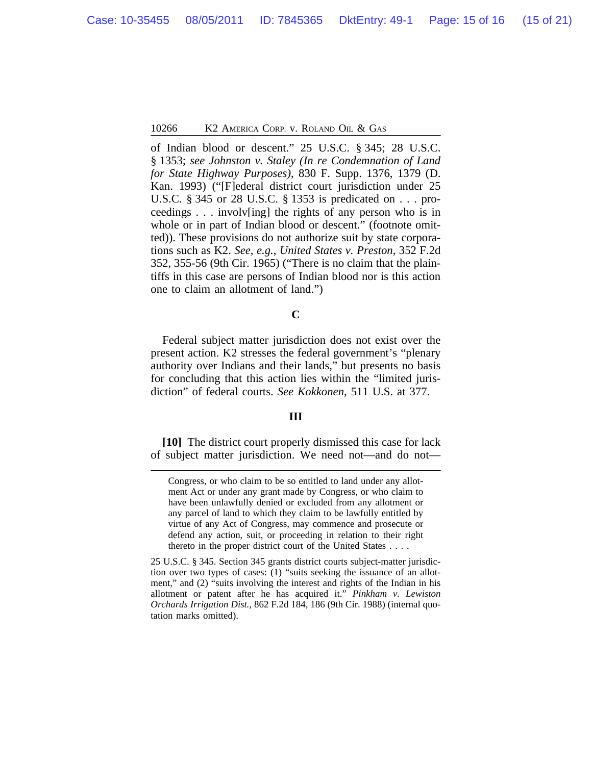of Indian blood or descent." 25 U.S.C. § 345; 28 U.S.C. § 1353; *see Johnston v. Staley (In re Condemnation of Land for State Highway Purposes)*, 830 F. Supp. 1376, 1379 (D. Kan. 1993) ("[F]ederal district court jurisdiction under 25 U.S.C. § 345 or 28 U.S.C. § 1353 is predicated on . . . proceedings . . . involv[ing] the rights of any person who is in whole or in part of Indian blood or descent." (footnote omitted)). These provisions do not authorize suit by state corporations such as K2. *See, e.g.*, *United States v. Preston*, 352 F.2d 352, 355-56 (9th Cir. 1965) ("There is no claim that the plaintiffs in this case are persons of Indian blood nor is this action one to claim an allotment of land.")

#### **C**

Federal subject matter jurisdiction does not exist over the present action. K2 stresses the federal government's "plenary authority over Indians and their lands," but presents no basis for concluding that this action lies within the "limited jurisdiction" of federal courts. *See Kokkonen*, 511 U.S. at 377.

#### **III**

**[10]** The district court properly dismissed this case for lack of subject matter jurisdiction. We need not—and do not—

Congress, or who claim to be so entitled to land under any allotment Act or under any grant made by Congress, or who claim to have been unlawfully denied or excluded from any allotment or any parcel of land to which they claim to be lawfully entitled by virtue of any Act of Congress, may commence and prosecute or defend any action, suit, or proceeding in relation to their right thereto in the proper district court of the United States . . . .

<sup>25</sup> U.S.C. § 345. Section 345 grants district courts subject-matter jurisdiction over two types of cases: (1) "suits seeking the issuance of an allotment," and (2) "suits involving the interest and rights of the Indian in his allotment or patent after he has acquired it." *Pinkham v. Lewiston Orchards Irrigation Dist.*, 862 F.2d 184, 186 (9th Cir. 1988) (internal quotation marks omitted).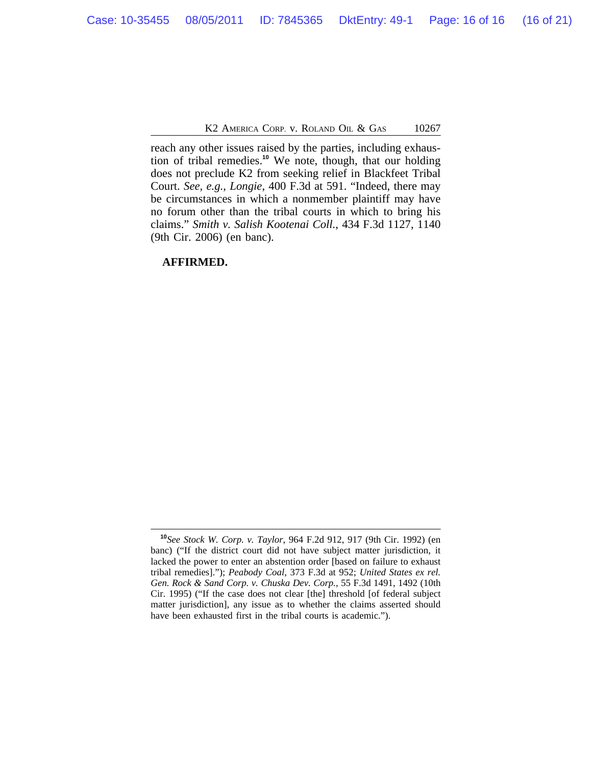K<sub>2</sub> America Corp. v. Roland Oil & Gas 10267

reach any other issues raised by the parties, including exhaustion of tribal remedies.**<sup>10</sup>** We note, though, that our holding does not preclude K2 from seeking relief in Blackfeet Tribal Court. *See, e.g.*, *Longie*, 400 F.3d at 591. "Indeed, there may be circumstances in which a nonmember plaintiff may have no forum other than the tribal courts in which to bring his claims." *Smith v. Salish Kootenai Coll.*, 434 F.3d 1127, 1140 (9th Cir. 2006) (en banc).

**AFFIRMED.**

**<sup>10</sup>***See Stock W. Corp. v. Taylor*, 964 F.2d 912, 917 (9th Cir. 1992) (en banc) ("If the district court did not have subject matter jurisdiction, it lacked the power to enter an abstention order [based on failure to exhaust tribal remedies]."); *Peabody Coal*, 373 F.3d at 952; *United States ex rel. Gen. Rock & Sand Corp. v. Chuska Dev. Corp.*, 55 F.3d 1491, 1492 (10th Cir. 1995) ("If the case does not clear [the] threshold [of federal subject matter jurisdiction], any issue as to whether the claims asserted should have been exhausted first in the tribal courts is academic.").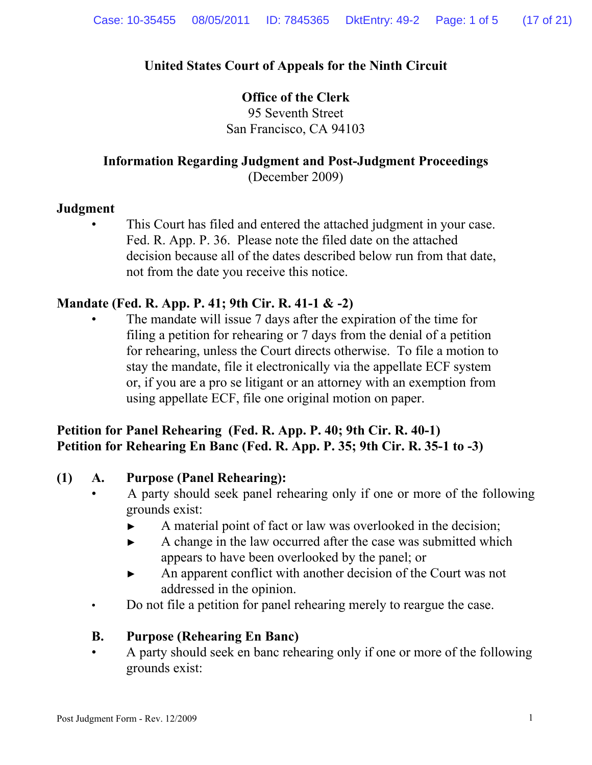# **United States Court of Appeals for the Ninth Circuit**

### **Office of the Clerk**

95 Seventh Street San Francisco, CA 94103

# **Information Regarding Judgment and Post-Judgment Proceedings**

(December 2009)

### **Judgment**

This Court has filed and entered the attached judgment in your case. Fed. R. App. P. 36. Please note the filed date on the attached decision because all of the dates described below run from that date, not from the date you receive this notice.

# **Mandate (Fed. R. App. P. 41; 9th Cir. R. 41-1 & -2)**

The mandate will issue 7 days after the expiration of the time for filing a petition for rehearing or 7 days from the denial of a petition for rehearing, unless the Court directs otherwise. To file a motion to stay the mandate, file it electronically via the appellate ECF system or, if you are a pro se litigant or an attorney with an exemption from using appellate ECF, file one original motion on paper.

### **Petition for Panel Rehearing (Fed. R. App. P. 40; 9th Cir. R. 40-1) Petition for Rehearing En Banc (Fed. R. App. P. 35; 9th Cir. R. 35-1 to -3)**

### **(1) A. Purpose (Panel Rehearing):**

- A party should seek panel rehearing only if one or more of the following grounds exist:
	- ► A material point of fact or law was overlooked in the decision;
	- ► A change in the law occurred after the case was submitted which appears to have been overlooked by the panel; or
	- ► An apparent conflict with another decision of the Court was not addressed in the opinion.
- Do not file a petition for panel rehearing merely to reargue the case.

### **B. Purpose (Rehearing En Banc)**

 • A party should seek en banc rehearing only if one or more of the following grounds exist: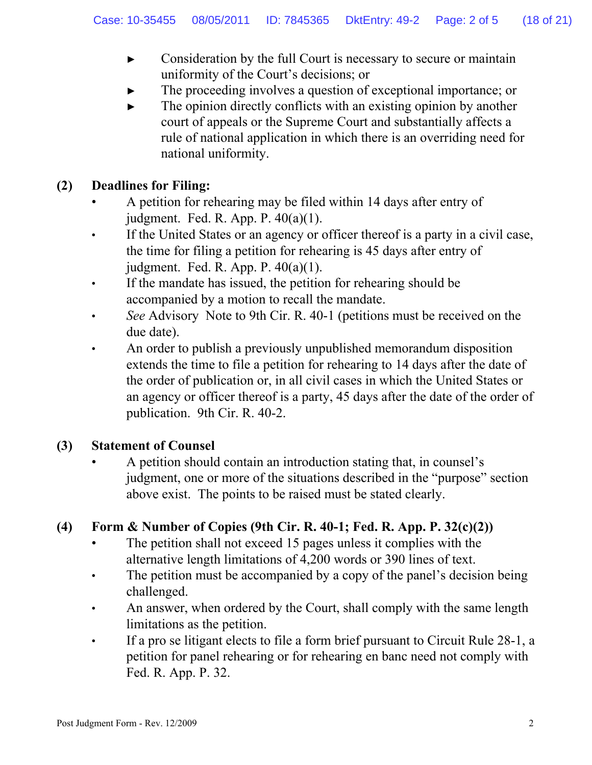- ► Consideration by the full Court is necessary to secure or maintain uniformity of the Court's decisions; or
- The proceeding involves a question of exceptional importance; or
- ► The opinion directly conflicts with an existing opinion by another court of appeals or the Supreme Court and substantially affects a rule of national application in which there is an overriding need for national uniformity.

## **(2) Deadlines for Filing:**

- A petition for rehearing may be filed within 14 days after entry of judgment. Fed. R. App. P. 40(a)(1).
- If the United States or an agency or officer thereof is a party in a civil case, the time for filing a petition for rehearing is 45 days after entry of judgment. Fed. R. App. P. 40(a)(1).
- If the mandate has issued, the petition for rehearing should be accompanied by a motion to recall the mandate.
- *See* Advisory Note to 9th Cir. R. 40-1 (petitions must be received on the due date).
- An order to publish a previously unpublished memorandum disposition extends the time to file a petition for rehearing to 14 days after the date of the order of publication or, in all civil cases in which the United States or an agency or officer thereof is a party, 45 days after the date of the order of publication. 9th Cir. R. 40-2.

### **(3) Statement of Counsel**

 • A petition should contain an introduction stating that, in counsel's judgment, one or more of the situations described in the "purpose" section above exist. The points to be raised must be stated clearly.

# **(4) Form & Number of Copies (9th Cir. R. 40-1; Fed. R. App. P. 32(c)(2))**

- The petition shall not exceed 15 pages unless it complies with the alternative length limitations of 4,200 words or 390 lines of text.
- The petition must be accompanied by a copy of the panel's decision being challenged.
- An answer, when ordered by the Court, shall comply with the same length limitations as the petition.
- If a pro se litigant elects to file a form brief pursuant to Circuit Rule 28-1, a petition for panel rehearing or for rehearing en banc need not comply with Fed. R. App. P. 32.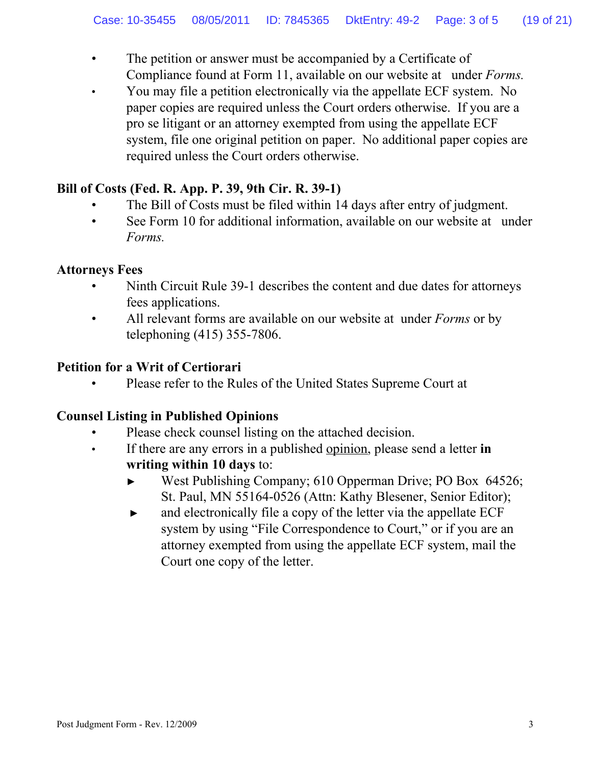- The petition or answer must be accompanied by a Certificate of Compliance found at Form 11, available on our website at under *Forms.*
- You may file a petition electronically via the appellate ECF system. No paper copies are required unless the Court orders otherwise. If you are a pro se litigant or an attorney exempted from using the appellate ECF system, file one original petition on paper. No additional paper copies are required unless the Court orders otherwise.

# **Bill of Costs (Fed. R. App. P. 39, 9th Cir. R. 39-1)**

- The Bill of Costs must be filed within 14 days after entry of judgment.
- See Form 10 for additional information, available on our website at under *Forms.*

### **Attorneys Fees**

- Ninth Circuit Rule 39-1 describes the content and due dates for attorneys fees applications.
- All relevant forms are available on our website at under *Forms* or by telephoning (415) 355-7806.

# **Petition for a Writ of Certiorari**

• Please refer to the Rules of the United States Supreme Court at

# **Counsel Listing in Published Opinions**

- Please check counsel listing on the attached decision.
- If there are any errors in a published opinion, please send a letter **in writing within 10 days** to:
	- ► West Publishing Company; 610 Opperman Drive; PO Box 64526; St. Paul, MN 55164-0526 (Attn: Kathy Blesener, Senior Editor);
	- ► and electronically file a copy of the letter via the appellate ECF system by using "File Correspondence to Court," or if you are an attorney exempted from using the appellate ECF system, mail the Court one copy of the letter.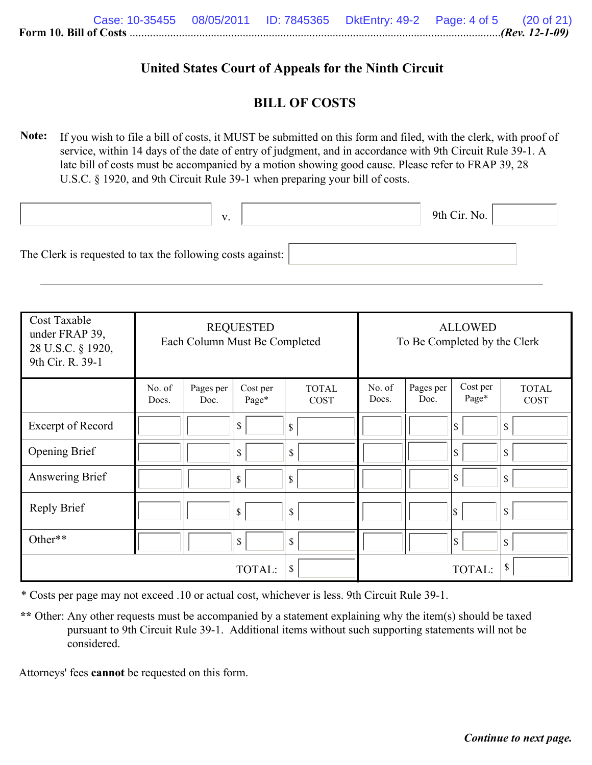### **United States Court of Appeals for the Ninth Circuit**

### **BILL OF COSTS**

**Note:** If you wish to file a bill of costs, it MUST be submitted on this form and filed, with the clerk, with proof of service, within 14 days of the date of entry of judgment, and in accordance with 9th Circuit Rule 39-1. A late bill of costs must be accompanied by a motion showing good cause. Please refer to FRAP 39, 28 U.S.C. § 1920, and 9th Circuit Rule 39-1 when preparing your bill of costs.

|                                                            | V. |  | 9th Cir. No. |  |
|------------------------------------------------------------|----|--|--------------|--|
| The Clerk is requested to tax the following costs against: |    |  |              |  |

| Cost Taxable<br>under FRAP 39,<br>28 U.S.C. § 1920,<br>9th Cir. R. 39-1 | <b>REQUESTED</b><br>Each Column Must Be Completed |                   |                   | <b>ALLOWED</b><br>To Be Completed by the Clerk |                 |                   |                   |                             |
|-------------------------------------------------------------------------|---------------------------------------------------|-------------------|-------------------|------------------------------------------------|-----------------|-------------------|-------------------|-----------------------------|
|                                                                         | No. of<br>Docs.                                   | Pages per<br>Doc. | Cost per<br>Page* | <b>TOTAL</b><br><b>COST</b>                    | No. of<br>Docs. | Pages per<br>Doc. | Cost per<br>Page* | <b>TOTAL</b><br><b>COST</b> |
| Excerpt of Record                                                       |                                                   |                   | \$                | \$                                             |                 |                   | \$                | \$                          |
| <b>Opening Brief</b>                                                    |                                                   |                   | \$                | \$                                             |                 |                   | S,                | \$                          |
| Answering Brief                                                         |                                                   |                   | \$                | \$                                             |                 |                   | $\sqrt{S}$        | \$                          |
| <b>Reply Brief</b>                                                      |                                                   |                   | \$                | \$                                             |                 |                   | \$                | \$                          |
| Other**                                                                 |                                                   |                   | \$                | \$                                             |                 |                   | $\sqrt{S}$        | \$                          |
| \$<br>TOTAL:                                                            |                                                   |                   |                   |                                                |                 | TOTAL:            | \$                |                             |

\* Costs per page may not exceed .10 or actual cost, whichever is less. 9th Circuit Rule 39-1.

\*\* Other: Any other requests must be accompanied by a statement explaining why the item(s) should be taxed pursuant to 9th Circuit Rule 39-1. Additional items without such supporting statements will not be considered.

Attorneys' fees **cannot** be requested on this form.